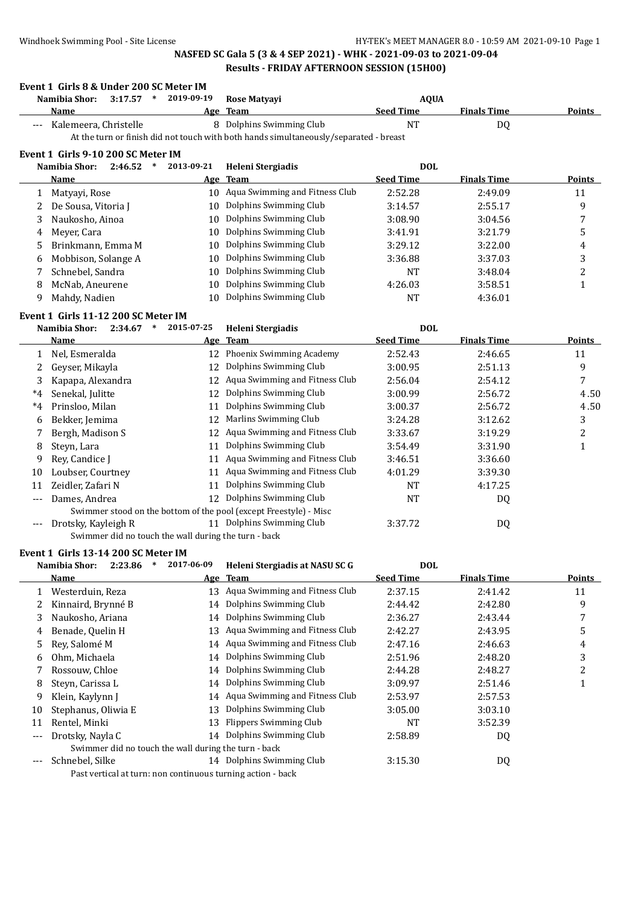|              | Event 1 Girls 8 & Under 200 SC Meter IM              |                      |                                                                                       |                  |                    |                         |
|--------------|------------------------------------------------------|----------------------|---------------------------------------------------------------------------------------|------------------|--------------------|-------------------------|
|              | Namibia Shor:<br>3:17.57<br>$\ast$                   | 2019-09-19           | Rose Matyayi                                                                          | <b>AQUA</b>      |                    |                         |
|              | Name                                                 |                      | Age Team                                                                              | <b>Seed Time</b> | <b>Finals Time</b> | <b>Points</b>           |
|              | Kalemeera, Christelle                                |                      | 8 Dolphins Swimming Club                                                              | NT               | DQ                 |                         |
|              |                                                      |                      | At the turn or finish did not touch with both hands simultaneously/separated - breast |                  |                    |                         |
|              | Event 1 Girls 9-10 200 SC Meter IM                   |                      |                                                                                       |                  |                    |                         |
|              | Namibia Shor:<br>2:46.52                             | 2013-09-21<br>$\ast$ | Heleni Stergiadis                                                                     | <b>DOL</b>       |                    |                         |
|              | Name                                                 |                      | Age Team                                                                              | <b>Seed Time</b> | <b>Finals Time</b> | Points                  |
| 1            | Matyayi, Rose                                        |                      | 10 Aqua Swimming and Fitness Club                                                     | 2:52.28          | 2:49.09            | 11                      |
| 2            | De Sousa, Vitoria J                                  |                      | 10 Dolphins Swimming Club                                                             | 3:14.57          | 2:55.17            | 9                       |
| 3            | Naukosho, Ainoa                                      | 10                   | Dolphins Swimming Club                                                                | 3:08.90          | 3:04.56            | 7                       |
| 4            | Meyer, Cara                                          | 10                   | Dolphins Swimming Club                                                                | 3:41.91          | 3:21.79            | 5                       |
| 5            | Brinkmann, Emma M                                    | 10                   | Dolphins Swimming Club                                                                | 3:29.12          | 3:22.00            | 4                       |
| 6            | Mobbison, Solange A                                  | 10                   | Dolphins Swimming Club                                                                | 3:36.88          | 3:37.03            | 3                       |
| 7            | Schnebel, Sandra                                     | 10                   | Dolphins Swimming Club                                                                | NT               | 3:48.04            | $\overline{\mathbf{c}}$ |
| 8            | McNab, Aneurene                                      | 10                   | Dolphins Swimming Club                                                                | 4:26.03          | 3:58.51            | $\mathbf{1}$            |
| 9            | Mahdy, Nadien                                        |                      | 10 Dolphins Swimming Club                                                             | NT               | 4:36.01            |                         |
|              | Event 1 Girls 11-12 200 SC Meter IM                  |                      |                                                                                       |                  |                    |                         |
|              | Namibia Shor:<br>2:34.67<br>∗                        | 2015-07-25           | Heleni Stergiadis                                                                     | <b>DOL</b>       |                    |                         |
|              | Name                                                 |                      | Age Team                                                                              | <b>Seed Time</b> | <b>Finals Time</b> | Points                  |
| $\mathbf{1}$ | Nel, Esmeralda                                       |                      | 12 Phoenix Swimming Academy                                                           | 2:52.43          | 2:46.65            | 11                      |
| 2            | Geyser, Mikayla                                      | 12                   | Dolphins Swimming Club                                                                | 3:00.95          | 2:51.13            | 9                       |
| 3            | Kapapa, Alexandra                                    |                      | 12 Aqua Swimming and Fitness Club                                                     | 2:56.04          | 2:54.12            | 7                       |
| $^*4$        | Senekal, Julitte                                     | 12                   | Dolphins Swimming Club                                                                | 3:00.99          | 2:56.72            | 4.50                    |
| $*4$         | Prinsloo, Milan                                      | 11                   | Dolphins Swimming Club                                                                | 3:00.37          | 2:56.72            | 4.50                    |
| 6            | Bekker, Jemima                                       | 12                   | Marlins Swimming Club                                                                 | 3:24.28          | 3:12.62            | 3                       |
| 7            | Bergh, Madison S                                     | 12                   | Aqua Swimming and Fitness Club                                                        | 3:33.67          | 3:19.29            | 2                       |
| 8            | Steyn, Lara                                          | 11                   | Dolphins Swimming Club                                                                | 3:54.49          | 3:31.90            | $\mathbf{1}$            |
| 9            | Rey, Candice J                                       |                      | 11 Aqua Swimming and Fitness Club                                                     | 3:46.51          | 3:36.60            |                         |
| 10           | Loubser, Courtney                                    |                      | 11 Aqua Swimming and Fitness Club                                                     | 4:01.29          | 3:39.30            |                         |
| 11           | Zeidler, Zafari N                                    | 11                   | Dolphins Swimming Club                                                                | <b>NT</b>        | 4:17.25            |                         |
| $---$        | Dames, Andrea                                        |                      | 12 Dolphins Swimming Club                                                             | <b>NT</b>        | DQ                 |                         |
|              |                                                      |                      | Swimmer stood on the bottom of the pool (except Freestyle) - Misc                     |                  |                    |                         |
| $---$        | Drotsky, Kayleigh R                                  |                      | 11 Dolphins Swimming Club                                                             | 3:37.72          | DQ                 |                         |
|              | Swimmer did no touch the wall during the turn - back |                      |                                                                                       |                  |                    |                         |
|              | Event 1 Girls 13-14 200 SC Meter IM                  |                      |                                                                                       |                  |                    |                         |
|              | Namibia Shor:<br>2:23.86<br>$\ast$                   | 2017-06-09           | Heleni Stergiadis at NASU SC G                                                        | <b>DOL</b>       |                    |                         |
|              | <b>Name</b>                                          |                      | Age Team                                                                              | <b>Seed Time</b> | <b>Finals Time</b> | <b>Points</b>           |
| 1            | Westerduin, Reza                                     |                      | 13 Aqua Swimming and Fitness Club                                                     | 2:37.15          | 2:41.42            | 11                      |
| 2            | Kinnaird, Brynné B                                   | 14                   | Dolphins Swimming Club                                                                | 2:44.42          | 2:42.80            | 9                       |
| 3            | Naukosho, Ariana                                     | 14                   | Dolphins Swimming Club                                                                | 2:36.27          | 2:43.44            | 7                       |
| 4            | Benade, Quelin H                                     | 13                   | Aqua Swimming and Fitness Club                                                        | 2:42.27          | 2:43.95            | 5                       |
| 5            | Rey, Salomé M                                        |                      | 14 Aqua Swimming and Fitness Club                                                     | 2:47.16          | 2:46.63            | 4                       |
| 6            | Ohm, Michaela                                        | 14                   | Dolphins Swimming Club                                                                | 2:51.96          | 2:48.20            | 3                       |
| 7            | Rossouw, Chloe                                       | 14                   | Dolphins Swimming Club                                                                | 2:44.28          | 2:48.27            | 2                       |
| 8            | Steyn, Carissa L                                     | 14                   | Dolphins Swimming Club                                                                | 3:09.97          | 2:51.46            | $\mathbf{1}$            |
| 9            | Klein, Kaylynn J                                     | 14                   | Aqua Swimming and Fitness Club                                                        | 2:53.97          | 2:57.53            |                         |
| 10           | Stephanus, Oliwia E                                  | 13                   | Dolphins Swimming Club                                                                | 3:05.00          | 3:03.10            |                         |
| 11           | Rentel, Minki                                        | 13                   | Flippers Swimming Club                                                                | NT               | 3:52.39            |                         |
| $---$        | Drotsky, Nayla C                                     | 14                   | Dolphins Swimming Club                                                                | 2:58.89          | DQ                 |                         |
|              | Swimmer did no touch the wall during the turn - back |                      |                                                                                       |                  |                    |                         |
|              | Schnebel, Silke                                      |                      | 14 Dolphins Swimming Club                                                             | 3:15.30          | DQ                 |                         |

Past vertical at turn: non continuous turning action - back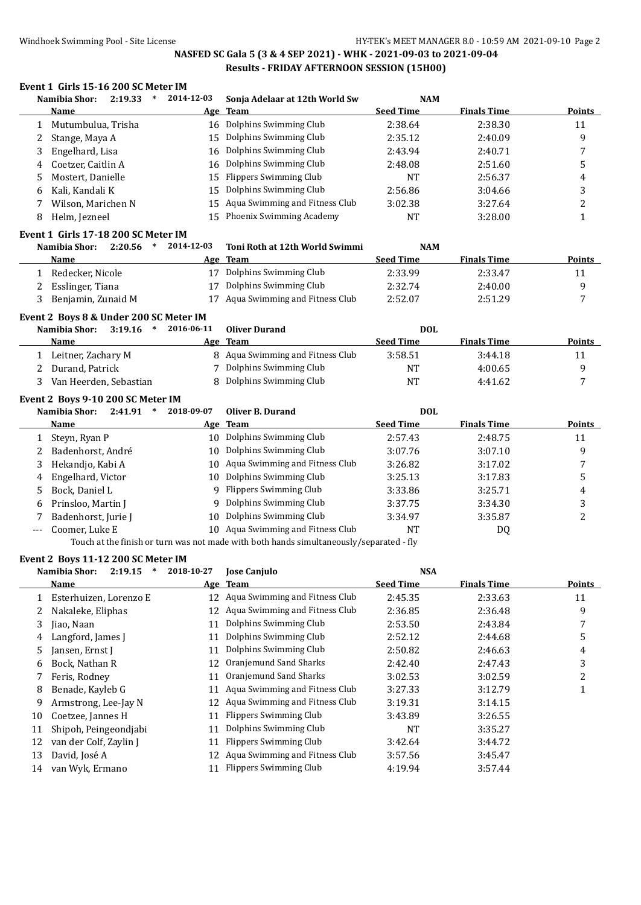### Windhoek Swimming Pool - Site License **HY-TEK's MEET MANAGER 8.0 - 10:59 AM 2021-09-10** Page 2

# **NASFED SC Gala 5 (3 & 4 SEP 2021) - WHK - 2021-09-03 to 2021-09-04 Results - FRIDAY AFTERNOON SESSION (15H00)**

### **Event 1 Girls 15-16 200 SC Meter IM**

| Namibia Shor:<br>2:19.33<br>$\ast$                                       | 2014-12-03 | Sonja Adelaar at 12th World Sw                                                          | <b>NAM</b>         |                    |                |
|--------------------------------------------------------------------------|------------|-----------------------------------------------------------------------------------------|--------------------|--------------------|----------------|
| Name                                                                     |            | Age Team                                                                                | <b>Seed Time</b>   | <b>Finals Time</b> | Points         |
| Mutumbulua, Trisha<br>1                                                  |            | 16 Dolphins Swimming Club                                                               | 2:38.64            | 2:38.30            | 11             |
| Stange, Maya A<br>2                                                      | 15         | Dolphins Swimming Club                                                                  | 2:35.12            | 2:40.09            | 9              |
| 3<br>Engelhard, Lisa                                                     | 16         | Dolphins Swimming Club                                                                  | 2:43.94            | 2:40.71            | 7              |
| Coetzer, Caitlin A<br>4                                                  | 16         | Dolphins Swimming Club                                                                  | 2:48.08            | 2:51.60            | 5              |
| Mostert, Danielle<br>5                                                   | 15         | <b>Flippers Swimming Club</b>                                                           | <b>NT</b>          | 2:56.37            | 4              |
| Kali, Kandali K<br>6                                                     | 15         | Dolphins Swimming Club                                                                  | 2:56.86            | 3:04.66            | 3              |
| Wilson, Marichen N<br>7                                                  | 15         | Aqua Swimming and Fitness Club                                                          | 3:02.38            | 3:27.64            | 2              |
| Helm, Jezneel<br>8                                                       | 15         | Phoenix Swimming Academy                                                                | NT                 | 3:28.00            | 1              |
| Event 1 Girls 17-18 200 SC Meter IM                                      |            |                                                                                         |                    |                    |                |
| Namibia Shor:<br>2:20.56<br>$\ast$                                       | 2014-12-03 | Toni Roth at 12th World Swimmi                                                          | <b>NAM</b>         |                    |                |
| Name                                                                     |            | Age Team                                                                                | <b>Seed Time</b>   | <b>Finals Time</b> | <b>Points</b>  |
| 1 Redecker, Nicole                                                       |            | 17 Dolphins Swimming Club                                                               | 2:33.99            | 2:33.47            | 11             |
| Esslinger, Tiana<br>2                                                    | 17         | Dolphins Swimming Club                                                                  | 2:32.74            | 2:40.00            | 9              |
| Benjamin, Zunaid M<br>3                                                  | 17         | Aqua Swimming and Fitness Club                                                          | 2:52.07            | 2:51.29            | 7              |
| Event 2 Boys 8 & Under 200 SC Meter IM                                   |            |                                                                                         |                    |                    |                |
| Namibia Shor:<br>3:19.16<br>$\ast$                                       | 2016-06-11 | <b>Oliver Durand</b>                                                                    | <b>DOL</b>         |                    |                |
| Name                                                                     |            | Age Team                                                                                | <b>Seed Time</b>   | <b>Finals Time</b> | <b>Points</b>  |
| 1 Leitner, Zachary M                                                     |            | 8 Aqua Swimming and Fitness Club                                                        | 3:58.51            | 3:44.18            | 11             |
| Durand, Patrick<br>2                                                     | 7          | Dolphins Swimming Club                                                                  | <b>NT</b>          | 4:00.65            | 9              |
| Van Heerden, Sebastian<br>3                                              | 8          | Dolphins Swimming Club                                                                  | NT                 | 4:41.62            | 7              |
| Event 2 Boys 9-10 200 SC Meter IM                                        |            |                                                                                         |                    |                    |                |
| Namibia Shor:<br>$2:41.91$ *                                             | 2018-09-07 | Oliver B. Durand                                                                        | <b>DOL</b>         |                    |                |
| Name                                                                     |            | Age Team                                                                                | <b>Seed Time</b>   | <b>Finals Time</b> | <b>Points</b>  |
| Steyn, Ryan P<br>1                                                       | 10         | Dolphins Swimming Club                                                                  | 2:57.43            | 2:48.75            | 11             |
| Badenhorst, André<br>2                                                   | 10         | Dolphins Swimming Club                                                                  | 3:07.76            | 3:07.10            | 9              |
| Hekandjo, Kabi A<br>3                                                    | 10         | Aqua Swimming and Fitness Club                                                          | 3:26.82            | 3:17.02            | 7              |
| Engelhard, Victor<br>4                                                   | 10         | Dolphins Swimming Club                                                                  | 3:25.13            | 3:17.83            | 5              |
| Bock, Daniel L<br>5                                                      | 9          | <b>Flippers Swimming Club</b>                                                           | 3:33.86            | 3:25.71            | 4              |
| Prinsloo, Martin J<br>6                                                  | 9          | Dolphins Swimming Club                                                                  | 3:37.75            | 3:34.30            | 3              |
| Badenhorst, Jurie J<br>7                                                 | 10         | Dolphins Swimming Club                                                                  | 3:34.97            | 3:35.87            | $\overline{c}$ |
| Coomer, Luke E<br>$---$                                                  |            | 10 Aqua Swimming and Fitness Club                                                       | <b>NT</b>          | DQ                 |                |
|                                                                          |            | Touch at the finish or turn was not made with both hands simultaneously/separated - fly |                    |                    |                |
| Event 2 Boys 11-12 200 SC Meter IM<br>Namibia Shor: 2:19.15 * 2018-10-27 |            | Jose Canjulo                                                                            | <b>NSA</b>         |                    |                |
| <b>Name</b>                                                              |            | Age Team                                                                                | <b>Seed Time</b>   | <b>Finals Time</b> | <b>Points</b>  |
| Esterhuizen, Lorenzo E<br>1                                              |            | 12 Aqua Swimming and Fitness Club                                                       | 2:45.35            | 2:33.63            | 11             |
|                                                                          |            |                                                                                         |                    |                    |                |
|                                                                          |            |                                                                                         |                    |                    |                |
| Nakaleke, Eliphas<br>2                                                   |            | 12 Aqua Swimming and Fitness Club                                                       | 2:36.85            | 2:36.48            | 9              |
| Jiao, Naan<br>3                                                          |            | 11 Dolphins Swimming Club                                                               | 2:53.50            | 2:43.84            | 7              |
| Langford, James J<br>4                                                   | 11         | Dolphins Swimming Club                                                                  | 2:52.12            | 2:44.68            | 5              |
| Jansen, Ernst J<br>5<br>Bock, Nathan R<br>6                              | 11<br>12   | Dolphins Swimming Club<br>Oranjemund Sand Sharks                                        | 2:50.82<br>2:42.40 | 2:46.63<br>2:47.43 | 4<br>3         |

8 Benade, Kayleb G 11 Aqua Swimming and Fitness Club 3:27.33 3:12.79 3:12.79

9 Armstrong, Lee-Jay N 12 Aqua Swimming and Fitness Club 3:19.31 3:14.15 10 Coetzee, Jannes H 11 Flippers Swimming Club 3:43.89 3:26.55 11 Shipoh, Peingeondjabi 11 Dolphins Swimming Club NT 3:35.27 12 van der Colf, Zaylin J 11 Flippers Swimming Club 3:42.64 3:44.72 13 David, Joseé A 12 Aqua Swimming and Fitness Club 3:57.56 3:45.47 14 van Wyk, Ermano 11 Flippers Swimming Club 4:19.94 3:57.44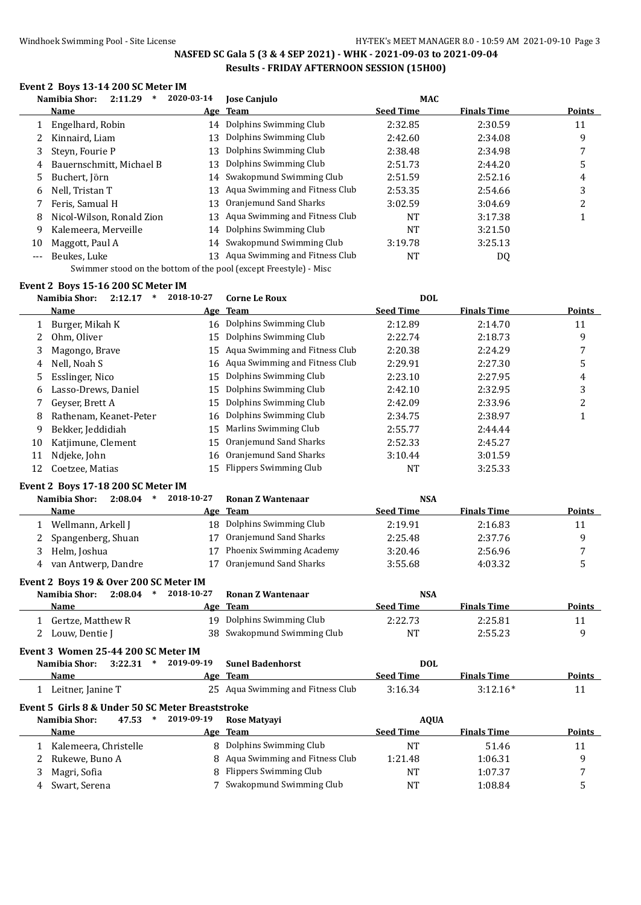### Windhoek Swimming Pool - Site License **HY-TEK's MEET MANAGER 8.0 - 10:59 AM 2021-09-10** Page 3

### **NASFED SC Gala 5 (3 & 4 SEP 2021) - WHK - 2021-09-03 to 2021-09-04 Results - FRIDAY AFTERNOON SESSION (15H00)**

### **Event 2 Boys 13-14 200 SC Meter IM**

|       | 2:11.29<br>Namibia Shor:  | 2020-03-14 | <b>Jose Canjulo</b>            | <b>MAC</b>       |                    |        |
|-------|---------------------------|------------|--------------------------------|------------------|--------------------|--------|
|       | <b>Name</b>               |            | Age Team                       | <b>Seed Time</b> | <b>Finals Time</b> | Points |
|       | Engelhard, Robin          |            | 14 Dolphins Swimming Club      | 2:32.85          | 2:30.59            | 11     |
|       | Kinnaird, Liam            | 13         | Dolphins Swimming Club         | 2:42.60          | 2:34.08            | 9      |
| 3     | Steyn, Fourie P           | 13         | Dolphins Swimming Club         | 2:38.48          | 2:34.98            |        |
| 4     | Bauernschmitt, Michael B  | 13         | Dolphins Swimming Club         | 2:51.73          | 2:44.20            | 5      |
|       | Buchert, Jörn<br>5        | 14         | Swakopmund Swimming Club       | 2:51.59          | 2:52.16            | 4      |
| 6     | Nell. Tristan T           | 13         | Aqua Swimming and Fitness Club | 2:53.35          | 2:54.66            | 3      |
|       | Feris. Samual H           | 13         | Oranjemund Sand Sharks         | 3:02.59          | 3:04.69            |        |
| 8     | Nicol-Wilson, Ronald Zion | 13         | Aqua Swimming and Fitness Club | NT               | 3:17.38            |        |
| 9     | Kalemeera, Merveille      | 14         | Dolphins Swimming Club         | <b>NT</b>        | 3:21.50            |        |
| 10    | Maggott, Paul A           |            | 14 Swakopmund Swimming Club    | 3:19.78          | 3:25.13            |        |
| $---$ | Beukes, Luke              | 13         | Aqua Swimming and Fitness Club | NT               | DQ                 |        |
|       |                           |            |                                |                  |                    |        |

Swimmer stood on the bottom of the pool (except Freestyle) - Misc

### **Event 2 Boys 15-16 200 SC Meter IM**

|    | Namibia Shor:<br>2:12.17 | 2018-10-27 | <b>Corne Le Roux</b>              | <b>DOL</b>       |                    |               |
|----|--------------------------|------------|-----------------------------------|------------------|--------------------|---------------|
|    | <b>Name</b>              |            | Age Team                          | <b>Seed Time</b> | <b>Finals Time</b> | <b>Points</b> |
|    | Burger, Mikah K          |            | 16 Dolphins Swimming Club         | 2:12.89          | 2:14.70            | 11            |
|    | Ohm, Oliver              | 15         | Dolphins Swimming Club            | 2:22.74          | 2:18.73            | 9             |
| 3  | Magongo, Brave           |            | 15 Aqua Swimming and Fitness Club | 2:20.38          | 2:24.29            | 7             |
| 4  | Nell, Noah S             |            | 16 Aqua Swimming and Fitness Club | 2:29.91          | 2:27.30            | 5             |
| 5. | Esslinger, Nico          |            | 15 Dolphins Swimming Club         | 2:23.10          | 2:27.95            | 4             |
| 6  | Lasso-Drews, Daniel      | 15         | Dolphins Swimming Club            | 2:42.10          | 2:32.95            | 3             |
|    | Geyser, Brett A          |            | 15 Dolphins Swimming Club         | 2:42.09          | 2:33.96            | っ             |
| 8  | Rathenam, Keanet-Peter   |            | 16 Dolphins Swimming Club         | 2:34.75          | 2:38.97            |               |
| 9  | Bekker, Jeddidiah        | 15         | Marlins Swimming Club             | 2:55.77          | 2:44.44            |               |
| 10 | Katjimune, Clement       | 15.        | Oranjemund Sand Sharks            | 2:52.33          | 2:45.27            |               |
| 11 | Ndjeke, John             |            | 16 Oranjemund Sand Sharks         | 3:10.44          | 3:01.59            |               |
| 12 | Coetzee, Matias          |            | 15 Flippers Swimming Club         | NT               | 3:25.33            |               |

#### **Event 2 Boys 17-18 200 SC Meter IM**

| 2:08.04<br>Namibia Shor:<br>$\ast$     | 2018-10-27 | Ronan Z Wantenaar        | <b>NSA</b>       |                    |        |
|----------------------------------------|------------|--------------------------|------------------|--------------------|--------|
| Name                                   |            | Age Team                 | <b>Seed Time</b> | <b>Finals Time</b> | Points |
| Wellmann, Arkell J                     | 18.        | Dolphins Swimming Club   | 2:19.91          | 2:16.83            | 11     |
| Spangenberg, Shuan<br>2                |            | Oranjemund Sand Sharks   | 2:25.48          | 2:37.76            | q      |
| Helm, Joshua<br>3                      |            | Phoenix Swimming Academy | 3:20.46          | 2:56.96            |        |
| van Antwerp, Dandre<br>4               |            | Oranjemund Sand Sharks   | 3:55.68          | 4:03.32            | 5      |
| Event 2 Boys 19 & Over 200 SC Meter IM |            |                          |                  |                    |        |

| 2:08.04<br>Namibia Shor: | 2018-10-27 | Ronan Z Wantenaar           | <b>NSA</b> |                    |        |
|--------------------------|------------|-----------------------------|------------|--------------------|--------|
| Name                     |            | Age Team                    | Seed Time  | <b>Finals Time</b> | Points |
| 1 Gertze, Matthew R      |            | 19 Dolphins Swimming Club   | 2:22.73    | 2:25.81            |        |
| 2 Louw, Dentie J         |            | 38 Swakopmund Swimming Club | NT         | 2:55.23            | Q      |

#### **Event 3 Women 25-44 200 SC Meter IM Namibia Shor:**

|                     |  | Namibia Shor: 3:22.31 * 2019-09-19 Sunel Badenhorst | DOL              |                    |               |
|---------------------|--|-----------------------------------------------------|------------------|--------------------|---------------|
| <b>Name</b>         |  | Age Team                                            | <b>Seed Time</b> | <b>Finals Time</b> | <b>Points</b> |
| 1 Leitner, Janine T |  | 25 Aqua Swimming and Fitness Club                   | 3:16.34          | $3:12.16*$         |               |

### **Event 5 Girls 8 & Under 50 SC Meter Breaststroke**

| Namibia Shor:<br>47.53<br>∗ | 2019-09-19 | <b>Rose Matvavi</b>              | <b>AOUA</b>      |                    |               |
|-----------------------------|------------|----------------------------------|------------------|--------------------|---------------|
| <b>Name</b>                 |            | Age Team                         | <b>Seed Time</b> | <b>Finals Time</b> | <b>Points</b> |
| Kalemeera, Christelle       |            | 8 Dolphins Swimming Club         | NT               | 51.46              | 11            |
| Rukewe, Buno A              |            | 8 Aqua Swimming and Fitness Club | 1:21.48          | 1:06.31            |               |
| Magri, Sofia                |            | 8 Flippers Swimming Club         | NT               | 1:07.37            |               |
| Swart, Serena               |            | Swakopmund Swimming Club         | NT               | 1:08.84            |               |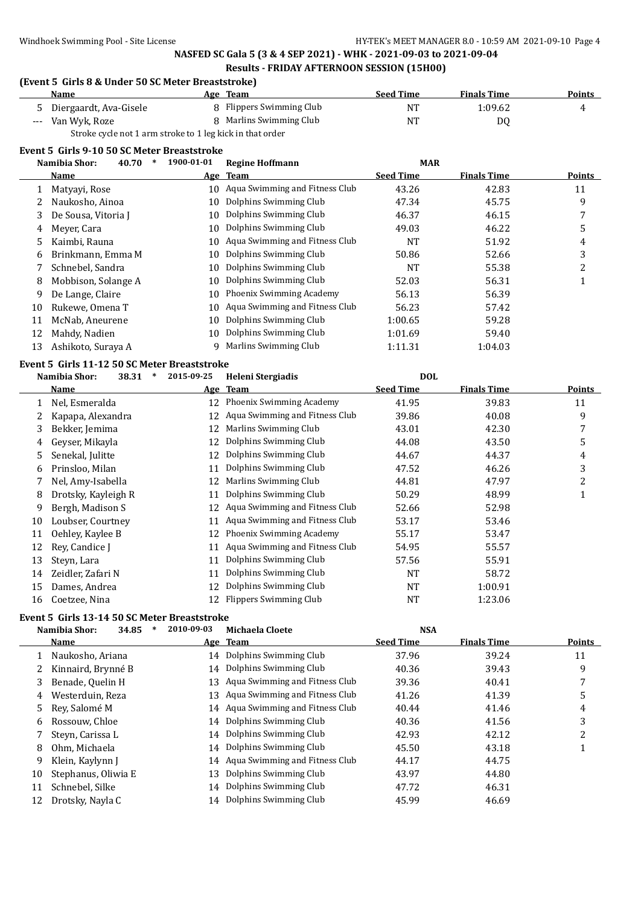### **(Event 5 Girls 8 & Under 50 SC Meter Breaststroke)**

|   | <b>Name</b>                                               |  | Age Team                 | <b>Seed Time</b> | <b>Finals Time</b> | <b>Points</b> |  |
|---|-----------------------------------------------------------|--|--------------------------|------------------|--------------------|---------------|--|
| 5 | Diergaardt, Ava-Gisele                                    |  | 8 Flippers Swimming Club | NT               | 1:09.62            |               |  |
|   | --- Van Wyk, Roze                                         |  | 8 Marlins Swimming Club  | NT               | D0                 |               |  |
|   | Stroke cycle not 1 arm stroke to 1 leg kick in that order |  |                          |                  |                    |               |  |

#### **Event 5 Girls 9-10 50 SC Meter Breaststroke**

|    | Namibia Shor:<br>40.70 | 1900-01-01 | <b>Regine Hoffmann</b>         | <b>MAR</b>       |                    |               |
|----|------------------------|------------|--------------------------------|------------------|--------------------|---------------|
|    | Name                   |            | Age Team                       | <b>Seed Time</b> | <b>Finals Time</b> | <b>Points</b> |
|    | Matyayi, Rose          | 10         | Aqua Swimming and Fitness Club | 43.26            | 42.83              | 11            |
|    | Naukosho, Ainoa        | 10         | Dolphins Swimming Club         | 47.34            | 45.75              | 9             |
| 3  | De Sousa, Vitoria J    | 10         | Dolphins Swimming Club         | 46.37            | 46.15              |               |
| 4  | Meyer, Cara            | 10         | Dolphins Swimming Club         | 49.03            | 46.22              | 5             |
| 5. | Kaimbi, Rauna          | 10         | Aqua Swimming and Fitness Club | NT               | 51.92              | 4             |
| 6  | Brinkmann, Emma M      | 10         | Dolphins Swimming Club         | 50.86            | 52.66              | 3             |
|    | Schnebel, Sandra       | 10         | Dolphins Swimming Club         | NT               | 55.38              | っ             |
| 8  | Mobbison, Solange A    | 10         | Dolphins Swimming Club         | 52.03            | 56.31              |               |
| 9  | De Lange, Claire       | 10         | Phoenix Swimming Academy       | 56.13            | 56.39              |               |
| 10 | Rukewe, Omena T        | 10         | Aqua Swimming and Fitness Club | 56.23            | 57.42              |               |
| 11 | McNab, Aneurene        | 10         | Dolphins Swimming Club         | 1:00.65          | 59.28              |               |
| 12 | Mahdy, Nadien          | 10         | Dolphins Swimming Club         | 1:01.69          | 59.40              |               |
| 13 | Ashikoto, Suraya A     | q          | Marlins Swimming Club          | 1:11.31          | 1:04.03            |               |

#### **Event 5 Girls 11-12 50 SC Meter Breaststroke**

|    | $\ast$<br>Namibia Shor:<br>38.31 | 2015-09-25 | Heleni Stergiadis              | <b>DOL</b>       |                    |        |
|----|----------------------------------|------------|--------------------------------|------------------|--------------------|--------|
|    | Name                             |            | Age Team                       | <b>Seed Time</b> | <b>Finals Time</b> | Points |
|    | Nel, Esmeralda                   | 12         | Phoenix Swimming Academy       | 41.95            | 39.83              | 11     |
|    | Kapapa, Alexandra                | 12         | Aqua Swimming and Fitness Club | 39.86            | 40.08              | 9      |
| 3  | Bekker, Jemima                   | 12         | Marlins Swimming Club          | 43.01            | 42.30              | 7      |
| 4  | Geyser, Mikayla                  | 12         | Dolphins Swimming Club         | 44.08            | 43.50              | 5      |
| 5. | Senekal, Julitte                 | 12         | Dolphins Swimming Club         | 44.67            | 44.37              | 4      |
| 6  | Prinsloo, Milan                  | 11         | Dolphins Swimming Club         | 47.52            | 46.26              | 3      |
|    | Nel, Amy-Isabella                | 12         | Marlins Swimming Club          | 44.81            | 47.97              | 2      |
| 8  | Drotsky, Kayleigh R              | 11         | Dolphins Swimming Club         | 50.29            | 48.99              | 1      |
| 9  | Bergh, Madison S                 | 12         | Aqua Swimming and Fitness Club | 52.66            | 52.98              |        |
| 10 | Loubser, Courtney                | 11         | Aqua Swimming and Fitness Club | 53.17            | 53.46              |        |
| 11 | Oehley, Kaylee B                 | 12         | Phoenix Swimming Academy       | 55.17            | 53.47              |        |
| 12 | Rey, Candice J                   | 11         | Aqua Swimming and Fitness Club | 54.95            | 55.57              |        |
| 13 | Steyn, Lara                      | 11         | Dolphins Swimming Club         | 57.56            | 55.91              |        |
| 14 | Zeidler, Zafari N                | 11         | Dolphins Swimming Club         | <b>NT</b>        | 58.72              |        |
| 15 | Dames, Andrea                    | 12         | Dolphins Swimming Club         | <b>NT</b>        | 1:00.91            |        |
| 16 | Coetzee, Nina                    | 12         | Flippers Swimming Club         | <b>NT</b>        | 1:23.06            |        |

# **Event 5 Girls 13-14 50 SC Meter Breaststroke**

|    | 34.85<br>Namibia Shor: | 2010-09-03 | Michaela Cloete                   | <b>NSA</b>       |                    |        |
|----|------------------------|------------|-----------------------------------|------------------|--------------------|--------|
|    | Name                   |            | Age Team                          | <b>Seed Time</b> | <b>Finals Time</b> | Points |
|    | Naukosho, Ariana       |            | 14 Dolphins Swimming Club         | 37.96            | 39.24              | 11     |
| 2  | Kinnaird, Brynné B     |            | 14 Dolphins Swimming Club         | 40.36            | 39.43              | 9      |
| 3  | Benade, Quelin H       | 13         | Aqua Swimming and Fitness Club    | 39.36            | 40.41              |        |
| 4  | Westerduin, Reza       |            | 13 Agua Swimming and Fitness Club | 41.26            | 41.39              | 5      |
| 5. | Rev. Salomé M          |            | 14 Aqua Swimming and Fitness Club | 40.44            | 41.46              | 4      |
| 6  | Rossouw, Chloe         | 14         | Dolphins Swimming Club            | 40.36            | 41.56              | 3      |
|    | Steyn, Carissa L       |            | 14 Dolphins Swimming Club         | 42.93            | 42.12              | C<br>∠ |
| 8  | Ohm, Michaela          |            | 14 Dolphins Swimming Club         | 45.50            | 43.18              |        |
| 9  | Klein, Kaylynn J       | 14         | Aqua Swimming and Fitness Club    | 44.17            | 44.75              |        |
| 10 | Stephanus, Oliwia E    | 13         | Dolphins Swimming Club            | 43.97            | 44.80              |        |
| 11 | Schnebel, Silke        |            | 14 Dolphins Swimming Club         | 47.72            | 46.31              |        |
| 12 | Drotsky, Nayla C       |            | 14 Dolphins Swimming Club         | 45.99            | 46.69              |        |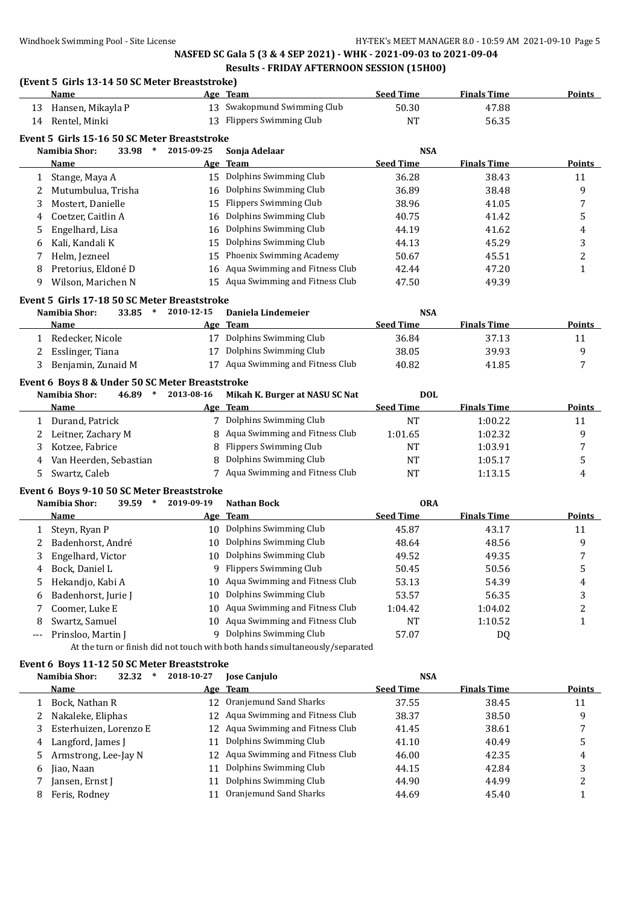**Age** Team **Seed Time Finals Time Points** 

### **(Event 5 Girls 13-14 50 SC Meter Breaststroke)**

| 13           | Hansen, Mikayla P                                                             | 13         | Swakopmund Swimming Club                                                     | 50.30            | 47.88              |                                         |
|--------------|-------------------------------------------------------------------------------|------------|------------------------------------------------------------------------------|------------------|--------------------|-----------------------------------------|
|              | 14 Rentel, Minki                                                              | 13         | <b>Flippers Swimming Club</b>                                                | <b>NT</b>        | 56.35              |                                         |
|              | Event 5 Girls 15-16 50 SC Meter Breaststroke                                  |            |                                                                              |                  |                    |                                         |
|              | Namibia Shor:<br>33.98 *                                                      | 2015-09-25 | Sonja Adelaar                                                                | <b>NSA</b>       |                    |                                         |
|              | Name                                                                          |            | Age Team                                                                     | <b>Seed Time</b> | <b>Finals Time</b> | Points                                  |
| 1            | Stange, Maya A                                                                |            | 15 Dolphins Swimming Club                                                    | 36.28            | 38.43              | 11                                      |
| 2            | Mutumbulua, Trisha                                                            | 16         | Dolphins Swimming Club                                                       | 36.89            | 38.48              | 9                                       |
|              | Mostert, Danielle                                                             | 15         | <b>Flippers Swimming Club</b>                                                | 38.96            | 41.05              |                                         |
| 3            |                                                                               |            | Dolphins Swimming Club                                                       |                  |                    | 7                                       |
| 4            | Coetzer, Caitlin A                                                            | 16         | Dolphins Swimming Club                                                       | 40.75            | 41.42              | 5                                       |
| 5            | Engelhard, Lisa                                                               | 16         |                                                                              | 44.19            | 41.62              | 4                                       |
| 6            | Kali, Kandali K                                                               | 15         | Dolphins Swimming Club                                                       | 44.13            | 45.29              | 3                                       |
| 7            | Helm, Jezneel                                                                 | 15         | Phoenix Swimming Academy                                                     | 50.67            | 45.51              | 2                                       |
| 8            | Pretorius, Eldoné D                                                           | 16         | Aqua Swimming and Fitness Club                                               | 42.44            | 47.20              | $\mathbf{1}$                            |
| 9            | Wilson, Marichen N                                                            | 15         | Aqua Swimming and Fitness Club                                               | 47.50            | 49.39              |                                         |
|              | Event 5 Girls 17-18 50 SC Meter Breaststroke                                  |            |                                                                              |                  |                    |                                         |
|              | Namibia Shor:<br>33.85<br>$\ast$                                              | 2010-12-15 | Daniela Lindemeier                                                           | <b>NSA</b>       |                    |                                         |
|              | Name                                                                          |            | Age Team                                                                     | <b>Seed Time</b> | <b>Finals Time</b> | Points                                  |
| $\mathbf{1}$ | Redecker, Nicole                                                              |            | 17 Dolphins Swimming Club                                                    | 36.84            | 37.13              | 11                                      |
| 2            | Esslinger, Tiana                                                              | 17         | Dolphins Swimming Club                                                       | 38.05            | 39.93              | 9                                       |
| 3            | Benjamin, Zunaid M                                                            |            | 17 Aqua Swimming and Fitness Club                                            | 40.82            | 41.85              | 7                                       |
|              |                                                                               |            |                                                                              |                  |                    |                                         |
|              | Event 6 Boys 8 & Under 50 SC Meter Breaststroke<br>Namibia Shor:<br>$46.89$ * | 2013-08-16 | Mikah K. Burger at NASU SC Nat                                               | <b>DOL</b>       |                    |                                         |
|              | Name                                                                          |            | Age Team                                                                     | <b>Seed Time</b> | <b>Finals Time</b> | <b>Points</b>                           |
|              | 1 Durand, Patrick                                                             |            | 7 Dolphins Swimming Club                                                     | NT               | 1:00.22            |                                         |
|              |                                                                               |            | Aqua Swimming and Fitness Club                                               | 1:01.65          | 1:02.32            | 11<br>9                                 |
| 2            | Leitner, Zachary M                                                            | 8          | Flippers Swimming Club                                                       |                  |                    |                                         |
| 3            | Kotzee, Fabrice                                                               | 8          |                                                                              | NT               | 1:03.91            | 7                                       |
|              |                                                                               |            |                                                                              |                  |                    |                                         |
| 4            | Van Heerden, Sebastian                                                        | 8          | Dolphins Swimming Club                                                       | NT               | 1:05.17            | 5                                       |
| 5            | Swartz, Caleb                                                                 |            | 7 Aqua Swimming and Fitness Club                                             | <b>NT</b>        | 1:13.15            | 4                                       |
|              | Event 6 Boys 9-10 50 SC Meter Breaststroke                                    |            |                                                                              |                  |                    |                                         |
|              | Namibia Shor:<br>39.59                                                        | 2019-09-19 | <b>Nathan Bock</b>                                                           | <b>ORA</b>       |                    |                                         |
|              | <u>Name</u>                                                                   |            | Age Team                                                                     | <b>Seed Time</b> | <b>Finals Time</b> | <b>Points</b>                           |
| 1            | Steyn, Ryan P                                                                 |            | 10 Dolphins Swimming Club                                                    | 45.87            | 43.17              | 11                                      |
| 2            | Badenhorst, André                                                             | 10         | Dolphins Swimming Club                                                       | 48.64            | 48.56              | 9                                       |
| 3            | Engelhard, Victor                                                             | 10         | Dolphins Swimming Club                                                       | 49.52            | 49.35              | 7                                       |
| 4            | Bock, Daniel L                                                                |            | 9 Flippers Swimming Club                                                     | 50.45            | 50.56              | 5                                       |
| 5            | Hekandjo, Kabi A                                                              |            | 10 Aqua Swimming and Fitness Club                                            | 53.13            | 54.39              | 4                                       |
| 6            | Badenhorst, Jurie J                                                           |            | 10 Dolphins Swimming Club                                                    | 53.57            | 56.35              | 3                                       |
| 7            | Coomer, Luke E                                                                |            | 10 Aqua Swimming and Fitness Club                                            | 1:04.42          | 1:04.02            | 2                                       |
| 8            | Swartz, Samuel                                                                |            | 10 Aqua Swimming and Fitness Club                                            | NT               | 1:10.52            | 1                                       |
| ---          | Prinsloo, Martin J                                                            |            | 9 Dolphins Swimming Club                                                     | 57.07            | DQ                 |                                         |
|              |                                                                               |            | At the turn or finish did not touch with both hands simultaneously/separated |                  |                    |                                         |
|              |                                                                               |            |                                                                              |                  |                    |                                         |
|              | Event 6 Boys 11-12 50 SC Meter Breaststroke                                   |            |                                                                              |                  |                    |                                         |
|              | Namibia Shor:<br>32.32<br>$\ast$                                              | 2018-10-27 | <b>Jose Canjulo</b>                                                          | <b>NSA</b>       |                    |                                         |
|              | <u>Name</u>                                                                   |            | Age Team                                                                     | <b>Seed Time</b> | <b>Finals Time</b> | <b>Points</b>                           |
|              | 1 Bock, Nathan R                                                              |            | 12 Oranjemund Sand Sharks                                                    | 37.55            | 38.45              | 11                                      |
| 2            | Nakaleke, Eliphas                                                             | 12         | Aqua Swimming and Fitness Club                                               | 38.37            | 38.50              | 9                                       |
| 3            | Esterhuizen, Lorenzo E                                                        | 12         | Aqua Swimming and Fitness Club                                               | 41.45            | 38.61              | 7                                       |
| 4            | Langford, James J                                                             | 11         | Dolphins Swimming Club                                                       | 41.10            | 40.49              | 5                                       |
| 5            | Armstrong, Lee-Jay N                                                          | 12         | Aqua Swimming and Fitness Club                                               | 46.00            | 42.35              | 4                                       |
| 6            | Jiao, Naan                                                                    | 11         | Dolphins Swimming Club                                                       | 44.15            | 42.84              | 3                                       |
| 7<br>8       | Jansen, Ernst J<br>Feris, Rodney                                              | 11<br>11   | Dolphins Swimming Club<br>Oranjemund Sand Sharks                             | 44.90<br>44.69   | 44.99<br>45.40     | $\overline{\mathbf{c}}$<br>$\mathbf{1}$ |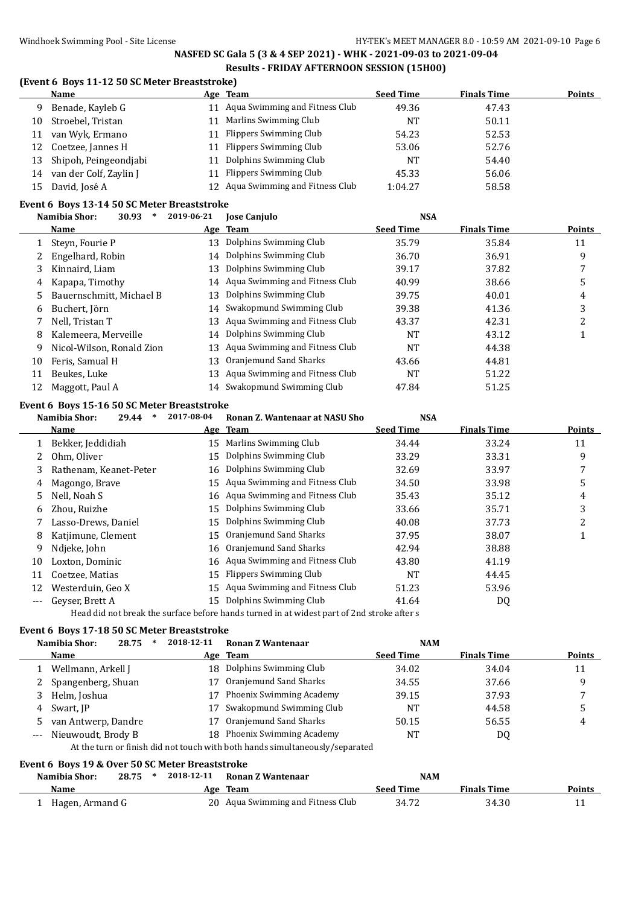### **(Event 6 Boys 11-12 50 SC Meter Breaststroke)**

|    | Name                   |    | Age Team                          | <b>Seed Time</b> | <b>Finals Time</b> | <b>Points</b> |
|----|------------------------|----|-----------------------------------|------------------|--------------------|---------------|
| 9  | Benade, Kayleb G       |    | 11 Aqua Swimming and Fitness Club | 49.36            | 47.43              |               |
| 10 | Stroebel, Tristan      | 11 | Marlins Swimming Club             | NΤ               | 50.11              |               |
| 11 | van Wyk, Ermano        |    | 11 Flippers Swimming Club         | 54.23            | 52.53              |               |
| 12 | Coetzee, Jannes H      | 11 | Flippers Swimming Club            | 53.06            | 52.76              |               |
| 13 | Shipoh, Peingeondjabi  | 11 | Dolphins Swimming Club            | NΤ               | 54.40              |               |
| 14 | van der Colf, Zaylin J |    | 11 Flippers Swimming Club         | 45.33            | 56.06              |               |
| 15 | David, José A          |    | 12 Aqua Swimming and Fitness Club | 1:04.27          | 58.58              |               |

### **Event 6 Boys 13-14 50 SC Meter Breaststroke**

|    | 30.93<br>Namibia Shor:<br>∗ | 2019-06-21 | <b>Jose Canjulo</b>               | <b>NSA</b>       |                    |        |
|----|-----------------------------|------------|-----------------------------------|------------------|--------------------|--------|
|    | <b>Name</b>                 |            | Age Team                          | <b>Seed Time</b> | <b>Finals Time</b> | Points |
|    | Steyn, Fourie P             | 13         | Dolphins Swimming Club            | 35.79            | 35.84              | 11     |
|    | Engelhard, Robin            | 14         | Dolphins Swimming Club            | 36.70            | 36.91              | 9      |
| 3  | Kinnaird, Liam              | 13         | Dolphins Swimming Club            | 39.17            | 37.82              |        |
| 4  | Kapapa, Timothy             |            | 14 Aqua Swimming and Fitness Club | 40.99            | 38.66              | 5      |
| 5. | Bauernschmitt, Michael B    | 13         | Dolphins Swimming Club            | 39.75            | 40.01              | 4      |
| 6  | Buchert, Jörn               | 14         | Swakopmund Swimming Club          | 39.38            | 41.36              | 3      |
|    | Nell, Tristan T             | 13         | Aqua Swimming and Fitness Club    | 43.37            | 42.31              | າ      |
| 8  | Kalemeera, Merveille        | 14         | Dolphins Swimming Club            | NT               | 43.12              |        |
| 9  | Nicol-Wilson, Ronald Zion   | 13         | Aqua Swimming and Fitness Club    | NT               | 44.38              |        |
| 10 | Feris, Samual H             | 13         | Oranjemund Sand Sharks            | 43.66            | 44.81              |        |
| 11 | Beukes, Luke                | 13         | Aqua Swimming and Fitness Club    | NT               | 51.22              |        |
| 12 | Maggott, Paul A             |            | 14 Swakopmund Swimming Club       | 47.84            | 51.25              |        |

### **Event 6 Boys 15-16 50 SC Meter Breaststroke**

|    | Namibia Shor:<br>∗<br>29.44 | 2017-08-04 | Ronan Z. Wantenaar at NASU Sho | <b>NSA</b>       |                    |        |
|----|-----------------------------|------------|--------------------------------|------------------|--------------------|--------|
|    | Name                        |            | Age Team                       | <b>Seed Time</b> | <b>Finals Time</b> | Points |
|    | Bekker, Jeddidiah           | 15         | Marlins Swimming Club          | 34.44            | 33.24              | 11     |
|    | Ohm, Oliver                 | 15         | Dolphins Swimming Club         | 33.29            | 33.31              | 9      |
| 3  | Rathenam, Keanet-Peter      | 16         | Dolphins Swimming Club         | 32.69            | 33.97              |        |
| 4  | Magongo, Brave              | 15         | Aqua Swimming and Fitness Club | 34.50            | 33.98              | 5      |
| 5  | Nell, Noah S                | 16         | Aqua Swimming and Fitness Club | 35.43            | 35.12              | 4      |
| 6  | Zhou, Ruizhe                | 15         | Dolphins Swimming Club         | 33.66            | 35.71              | 3      |
|    | Lasso-Drews, Daniel         | 15         | Dolphins Swimming Club         | 40.08            | 37.73              | 2      |
| 8  | Katjimune, Clement          | 15         | Oranjemund Sand Sharks         | 37.95            | 38.07              |        |
| 9  | Ndjeke, John                | 16         | Oranjemund Sand Sharks         | 42.94            | 38.88              |        |
| 10 | Loxton, Dominic             | 16         | Aqua Swimming and Fitness Club | 43.80            | 41.19              |        |
| 11 | Coetzee, Matias             | 15         | Flippers Swimming Club         | NT               | 44.45              |        |
| 12 | Westerduin, Geo X           | 15         | Aqua Swimming and Fitness Club | 51.23            | 53.96              |        |
|    | Geyser, Brett A             | 15         | Dolphins Swimming Club         | 41.64            | DQ                 |        |
|    |                             |            |                                |                  |                    |        |

Head did not break the surface before hands turned in at widest part of 2nd stroke after s

#### **Event 6 Boys 17-18 50 SC Meter Breaststroke**

|   | 28.75<br>Namibia Shor: | 2018-12-11 | Ronan Z Wantenaar                                                            | <b>NAM</b>       |                    |               |
|---|------------------------|------------|------------------------------------------------------------------------------|------------------|--------------------|---------------|
|   | Name                   |            | Age Team                                                                     | <b>Seed Time</b> | <b>Finals Time</b> | <b>Points</b> |
|   | Wellmann, Arkell J     |            | 18 Dolphins Swimming Club                                                    | 34.02            | 34.04              | 11            |
|   | Spangenberg, Shuan     |            | Oranjemund Sand Sharks                                                       | 34.55            | 37.66              | 9             |
|   | Helm, Joshua           |            | Phoenix Swimming Academy                                                     | 39.15            | 37.93              |               |
| 4 | Swart, JP              |            | Swakopmund Swimming Club                                                     | NT               | 44.58              | 5             |
|   | van Antwerp, Dandre    |            | Oranjemund Sand Sharks                                                       | 50.15            | 56.55              | 4             |
|   | Nieuwoudt, Brody B     |            | 18 Phoenix Swimming Academy                                                  | <b>NT</b>        | DQ                 |               |
|   |                        |            | At the turn or finish did not touch with both hands simultaneously/separated |                  |                    |               |

### **Event 6 Boys 19 & Over 50 SC Meter Breaststroke**

| Namibia Shor:   | 28.75 | * | 2018-12-11 | Ronan Z Wantenaar                 | <b>NAM</b> |                    |               |
|-----------------|-------|---|------------|-----------------------------------|------------|--------------------|---------------|
| <b>Name</b>     |       |   |            | Age Team                          | Seed Time  | <b>Finals Time</b> | <b>Points</b> |
| Hagen, Armand G |       |   |            | 20 Aqua Swimming and Fitness Club | 34.72      | 34.30              |               |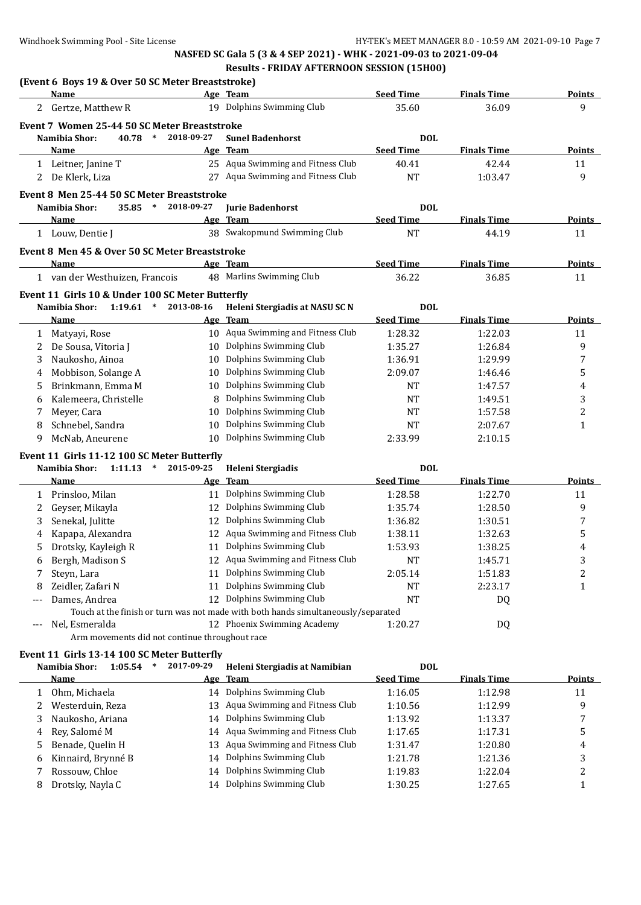|       | (Event 6 Boys 19 & Over 50 SC Meter Breaststroke) |            |                                                                                   |                  |                    |                  |
|-------|---------------------------------------------------|------------|-----------------------------------------------------------------------------------|------------------|--------------------|------------------|
|       | Name                                              |            | Age Team                                                                          | <b>Seed Time</b> | <b>Finals Time</b> | <b>Points</b>    |
| 2     | Gertze, Matthew R                                 |            | 19 Dolphins Swimming Club                                                         | 35.60            | 36.09              | 9                |
|       | Event 7 Women 25-44 50 SC Meter Breaststroke      |            |                                                                                   |                  |                    |                  |
|       | Namibia Shor:<br>40.78<br>$\ast$                  | 2018-09-27 | <b>Sunel Badenhorst</b>                                                           | <b>DOL</b>       |                    |                  |
|       | Name                                              |            | Age Team                                                                          | <b>Seed Time</b> | <b>Finals Time</b> | <b>Points</b>    |
|       | 1 Leitner, Janine T                               |            | 25 Aqua Swimming and Fitness Club                                                 | 40.41            | 42.44              | 11               |
| 2     | De Klerk, Liza                                    | 27         | Aqua Swimming and Fitness Club                                                    | <b>NT</b>        | 1:03.47            | 9                |
|       | Event 8 Men 25-44 50 SC Meter Breaststroke        |            |                                                                                   |                  |                    |                  |
|       | Namibia Shor:<br>$\ast$<br>35.85                  | 2018-09-27 | <b>Iurie Badenhorst</b>                                                           | <b>DOL</b>       |                    |                  |
|       | Name                                              |            | Age Team                                                                          | <b>Seed Time</b> | <b>Finals Time</b> | <b>Points</b>    |
|       | 1 Louw, Dentie J                                  |            | 38 Swakopmund Swimming Club                                                       | <b>NT</b>        | 44.19              | 11               |
|       | Event 8 Men 45 & Over 50 SC Meter Breaststroke    |            |                                                                                   |                  |                    |                  |
|       | Name                                              |            | Age Team                                                                          | <b>Seed Time</b> | <b>Finals Time</b> | Points           |
|       | 1 van der Westhuizen, Francois                    |            | 48 Marlins Swimming Club                                                          | 36.22            | 36.85              | 11               |
|       | Event 11 Girls 10 & Under 100 SC Meter Butterfly  |            |                                                                                   |                  |                    |                  |
|       | Namibia Shor:<br>1:19.61<br>$\ast$                | 2013-08-16 | Heleni Stergiadis at NASU SC N                                                    | <b>DOL</b>       |                    |                  |
|       | Name                                              |            | Age Team                                                                          | <b>Seed Time</b> | <b>Finals Time</b> | Points           |
| 1     | Matyayi, Rose                                     |            | 10 Aqua Swimming and Fitness Club                                                 | 1:28.32          | 1:22.03            | 11               |
| 2     | De Sousa, Vitoria J                               |            | 10 Dolphins Swimming Club                                                         | 1:35.27          | 1:26.84            | 9                |
|       | Naukosho, Ainoa                                   |            | Dolphins Swimming Club                                                            | 1:36.91          | 1:29.99            | 7                |
| 3     |                                                   | 10         | Dolphins Swimming Club                                                            |                  |                    |                  |
| 4     | Mobbison, Solange A                               | 10         |                                                                                   | 2:09.07          | 1:46.46            | 5                |
| 5     | Brinkmann, Emma M                                 |            | 10 Dolphins Swimming Club                                                         | NT               | 1:47.57            | 4                |
| 6     | Kalemeera, Christelle                             | 8          | Dolphins Swimming Club                                                            | NT               | 1:49.51            | 3                |
| 7     | Meyer, Cara                                       | 10         | Dolphins Swimming Club                                                            | NT               | 1:57.58            | 2                |
| 8     | Schnebel, Sandra                                  | 10         | Dolphins Swimming Club                                                            | NT               | 2:07.67            | 1                |
| 9     | McNab, Aneurene                                   |            | 10 Dolphins Swimming Club                                                         | 2:33.99          | 2:10.15            |                  |
|       | Event 11 Girls 11-12 100 SC Meter Butterfly       |            |                                                                                   |                  |                    |                  |
|       | Namibia Shor:<br>1:11.13<br>$\ast$                | 2015-09-25 | <b>Heleni Stergiadis</b>                                                          | <b>DOL</b>       |                    |                  |
|       | Name                                              |            | Age Team                                                                          | <b>Seed Time</b> | <b>Finals Time</b> | <b>Points</b>    |
| 1     | Prinsloo, Milan                                   |            | 11 Dolphins Swimming Club                                                         | 1:28.58          | 1:22.70            | 11               |
| 2     | Geyser, Mikayla                                   | 12         | Dolphins Swimming Club                                                            | 1:35.74          | 1:28.50            | 9                |
| 3     | Senekal, Julitte                                  | 12         | Dolphins Swimming Club                                                            | 1:36.82          | 1:30.51            | 7                |
| 4     | Kapapa, Alexandra                                 | 12         | Aqua Swimming and Fitness Club                                                    | 1:38.11          | 1:32.63            | 5                |
| 5     | Drotsky, Kayleigh R                               |            | 11 Dolphins Swimming Club                                                         | 1:53.93          | 1:38.25            | 4                |
| 6     | Bergh, Madison S                                  |            | 12 Aqua Swimming and Fitness Club                                                 | <b>NT</b>        | 1:45.71            | 3                |
| 7     | Steyn, Lara                                       |            | 11 Dolphins Swimming Club                                                         | 2:05.14          | 1:51.83            | 2                |
| 8     | Zeidler, Zafari N                                 |            | 11 Dolphins Swimming Club                                                         | NT               | 2:23.17            | 1                |
|       | Dames, Andrea                                     |            | 12 Dolphins Swimming Club                                                         | NT               | DQ                 |                  |
|       |                                                   |            | Touch at the finish or turn was not made with both hands simultaneously/separated |                  |                    |                  |
| $---$ | Nel, Esmeralda                                    |            | 12 Phoenix Swimming Academy                                                       | 1:20.27          | DQ                 |                  |
|       | Arm movements did not continue throughout race    |            |                                                                                   |                  |                    |                  |
|       | Event 11 Girls 13-14 100 SC Meter Butterfly       |            |                                                                                   |                  |                    |                  |
|       | Namibia Shor:<br>1:05.54<br>$\ast$                | 2017-09-29 | Heleni Stergiadis at Namibian                                                     | <b>DOL</b>       |                    |                  |
|       | <b>Name</b>                                       |            | Age Team                                                                          | <b>Seed Time</b> | <b>Finals Time</b> | <b>Points</b>    |
| 1     | Ohm, Michaela                                     |            | 14 Dolphins Swimming Club                                                         | 1:16.05          | 1:12.98            | 11               |
| 2     | Westerduin, Reza                                  | 13         | Aqua Swimming and Fitness Club                                                    | 1:10.56          | 1:12.99            | 9                |
| 3     | Naukosho, Ariana                                  |            | 14 Dolphins Swimming Club                                                         | 1:13.92          | 1:13.37            | 7                |
| 4     | Rey, Salomé M                                     | 14         | Aqua Swimming and Fitness Club                                                    | 1:17.65          | 1:17.31            | 5                |
| 5     | Benade, Quelin H                                  | 13         | Aqua Swimming and Fitness Club                                                    | 1:31.47          | 1:20.80            | 4                |
| 6     | Kinnaird, Brynné B                                | 14         | Dolphins Swimming Club                                                            | 1:21.78          | 1:21.36            | 3                |
| 7     | Rossouw, Chloe                                    | 14         | Dolphins Swimming Club                                                            | 1:19.83          | 1:22.04            | $\boldsymbol{2}$ |
| 8     | Drotsky, Nayla C                                  |            | 14 Dolphins Swimming Club                                                         | 1:30.25          | 1:27.65            | $\mathbf{1}$     |
|       |                                                   |            |                                                                                   |                  |                    |                  |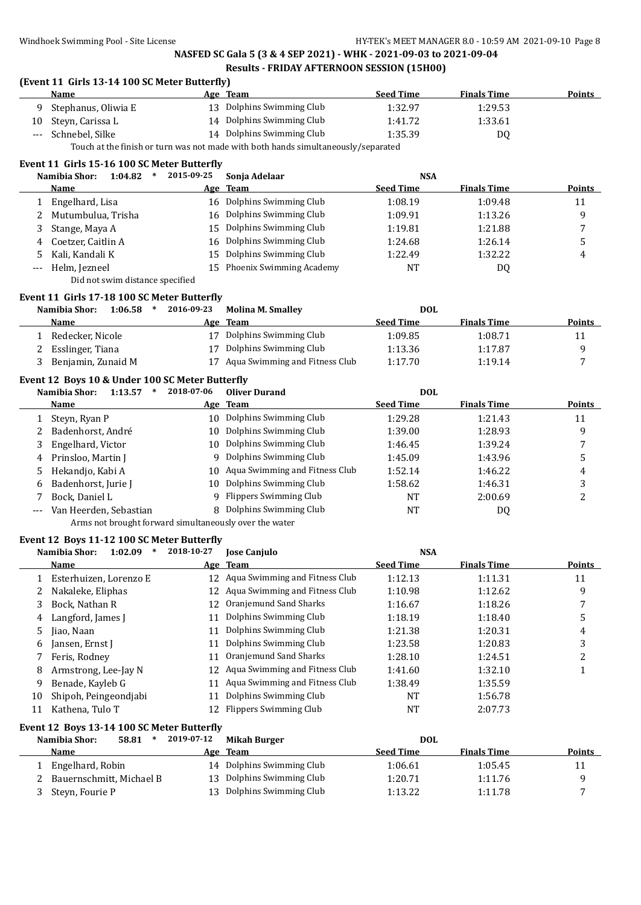### **(Event 11 Girls 13-14 100 SC Meter Butterfly)**

| <b>Name</b>           | Age Team                                                                           | <b>Seed Time</b> | <b>Finals Time</b> | Points |
|-----------------------|------------------------------------------------------------------------------------|------------------|--------------------|--------|
| 9 Stephanus, Oliwia E | 13 Dolphins Swimming Club                                                          | 1:32.97          | 1:29.53            |        |
| 10 Steyn, Carissa L   | 14 Dolphins Swimming Club                                                          | 1:41.72          | 1:33.61            |        |
| --- Schnebel, Silke   | 14 Dolphins Swimming Club                                                          | 1:35.39          | D <sub>0</sub>     |        |
|                       | Tough at the finish on turn was not mode with hath hands simultaneously (separated |                  |                    |        |

Touch at the finish or turn was not made with both hands simultaneously/separated

### **Event 11 Girls 15-16 100 SC Meter Butterfly**

|    | 1:04.82<br>Namibia Shor:<br>*   | 2015-09-25 | Sonia Adelaar               | <b>NSA</b>       |                    |               |
|----|---------------------------------|------------|-----------------------------|------------------|--------------------|---------------|
|    | Name                            |            | Age Team                    | <b>Seed Time</b> | <b>Finals Time</b> | <b>Points</b> |
|    | Engelhard, Lisa                 |            | 16 Dolphins Swimming Club   | 1:08.19          | 1:09.48            | 11            |
|    | Mutumbulua, Trisha              |            | 16 Dolphins Swimming Club   | 1:09.91          | 1:13.26            | q             |
|    | Stange, Maya A                  |            | 15 Dolphins Swimming Club   | 1:19.81          | 1:21.88            |               |
| 4  | Coetzer, Caitlin A              |            | 16 Dolphins Swimming Club   | 1:24.68          | 1:26.14            | 5             |
| 5. | Kali, Kandali K                 |            | 15 Dolphins Swimming Club   | 1:22.49          | 1:32.22            | 4             |
|    | Helm, Jezneel                   |            | 15 Phoenix Swimming Academy | NT               | DQ                 |               |
|    | Did not swim distance specified |            |                             |                  |                    |               |

# **Event 11 Girls 17-18 100 SC Meter Butterfly**

| Namibia Shor:      | 1:06.58 | 2016-09-23 | <b>Molina M. Smalley</b>       | <b>DOL</b>       |                    |               |
|--------------------|---------|------------|--------------------------------|------------------|--------------------|---------------|
| <b>Name</b>        |         |            | Age Team                       | <b>Seed Time</b> | <b>Finals Time</b> | <b>Points</b> |
| Redecker, Nicole   |         | 17         | Dolphins Swimming Club         | 1:09.85          | 1:08.71            |               |
| 2 Esslinger, Tiana |         |            | 17 Dolphins Swimming Club      | 1:13.36          | 1:17.87            |               |
| Benjamin, Zunaid M |         | 17         | Aqua Swimming and Fitness Club | 1:17.70          | 1:19.14            |               |

#### **Event 12 Boys 10 & Under 100 SC Meter Butterfly**

| 1:13.57                | 2018-07-06                    | <b>Oliver Durand</b> | <b>DOL</b>                                                                                                                                                                                                                                    |                    |        |
|------------------------|-------------------------------|----------------------|-----------------------------------------------------------------------------------------------------------------------------------------------------------------------------------------------------------------------------------------------|--------------------|--------|
| <b>Name</b>            |                               |                      | <b>Seed Time</b>                                                                                                                                                                                                                              | <b>Finals Time</b> | Points |
| Steyn, Ryan P          | 10                            |                      | 1:29.28                                                                                                                                                                                                                                       | 1:21.43            | 11     |
| Badenhorst, André      | 10                            |                      | 1:39.00                                                                                                                                                                                                                                       | 1:28.93            | 9      |
| Engelhard, Victor      | 10                            |                      | 1:46.45                                                                                                                                                                                                                                       | 1:39.24            |        |
| Prinsloo, Martin J     |                               |                      | 1:45.09                                                                                                                                                                                                                                       | 1:43.96            | 5      |
| Hekandjo, Kabi A       | 10                            |                      | 1:52.14                                                                                                                                                                                                                                       | 1:46.22            | 4      |
| Badenhorst, Jurie J    | 10                            |                      | 1:58.62                                                                                                                                                                                                                                       | 1:46.31            | 3      |
| Bock, Daniel L         |                               |                      | <b>NT</b>                                                                                                                                                                                                                                     | 2:00.69            | ▵      |
| Van Heerden, Sebastian |                               |                      | <b>NT</b>                                                                                                                                                                                                                                     | DQ                 |        |
|                        | Namibia Shor:<br>4<br>5.<br>6 |                      | <u>Age Team</u><br>Dolphins Swimming Club<br>Dolphins Swimming Club<br>Dolphins Swimming Club<br>9 Dolphins Swimming Club<br>Aqua Swimming and Fitness Club<br>Dolphins Swimming Club<br>9 Flippers Swimming Club<br>8 Dolphins Swimming Club |                    |        |

Arms not brought forward simultaneously over the water

### **Event 12 Boys 11-12 100 SC Meter Butterfly**

|    | 1:02.09<br>Namibia Shor: | 2018-10-27 | <b>Jose Canjulo</b>               | <b>NSA</b>       |                    |               |
|----|--------------------------|------------|-----------------------------------|------------------|--------------------|---------------|
|    | <b>Name</b>              |            | Age Team                          | <b>Seed Time</b> | <b>Finals Time</b> | <b>Points</b> |
|    | Esterhuizen, Lorenzo E   |            | 12 Agua Swimming and Fitness Club | 1:12.13          | 1:11.31            | 11            |
| 2  | Nakaleke, Eliphas        | 12         | Aqua Swimming and Fitness Club    | 1:10.98          | 1:12.62            | 9             |
| 3  | Bock, Nathan R           | 12         | Oranjemund Sand Sharks            | 1:16.67          | 1:18.26            |               |
| 4  | Langford, James J        | 11         | Dolphins Swimming Club            | 1:18.19          | 1:18.40            | 5             |
| 5. | Jiao, Naan               | 11         | Dolphins Swimming Club            | 1:21.38          | 1:20.31            | 4             |
| 6  | Jansen, Ernst J          | 11         | Dolphins Swimming Club            | 1:23.58          | 1:20.83            | 3             |
|    | Feris, Rodney            | 11         | Oranjemund Sand Sharks            | 1:28.10          | 1:24.51            | ∍             |
| 8  | Armstrong, Lee-Jay N     | 12         | Aqua Swimming and Fitness Club    | 1:41.60          | 1:32.10            |               |
| 9. | Benade, Kayleb G         | 11         | Aqua Swimming and Fitness Club    | 1:38.49          | 1:35.59            |               |
| 10 | Shipoh, Peingeondjabi    | 11         | Dolphins Swimming Club            | <b>NT</b>        | 1:56.78            |               |
| 11 | Kathena, Tulo T          | 12         | Flippers Swimming Club            | <b>NT</b>        | 2:07.73            |               |
|    |                          |            |                                   |                  |                    |               |

#### **Event 12 Boys 13-14 100 SC Meter Butterfly**

| 58.81<br>Namibia Shor:   | 2019-07-12 | Mikah Burger              | DOL              |                    |        |
|--------------------------|------------|---------------------------|------------------|--------------------|--------|
| <b>Name</b>              |            | Age Team                  | <b>Seed Time</b> | <b>Finals Time</b> | Points |
| Engelhard, Robin         |            | 14 Dolphins Swimming Club | 1:06.61          | 1:05.45            | 11     |
| Bauernschmitt, Michael B |            | 13 Dolphins Swimming Club | 1:20.71          | 1:11.76            |        |
| Stevn, Fourie P          |            | Dolphins Swimming Club    | 1:13.22          | 1:11.78            | −      |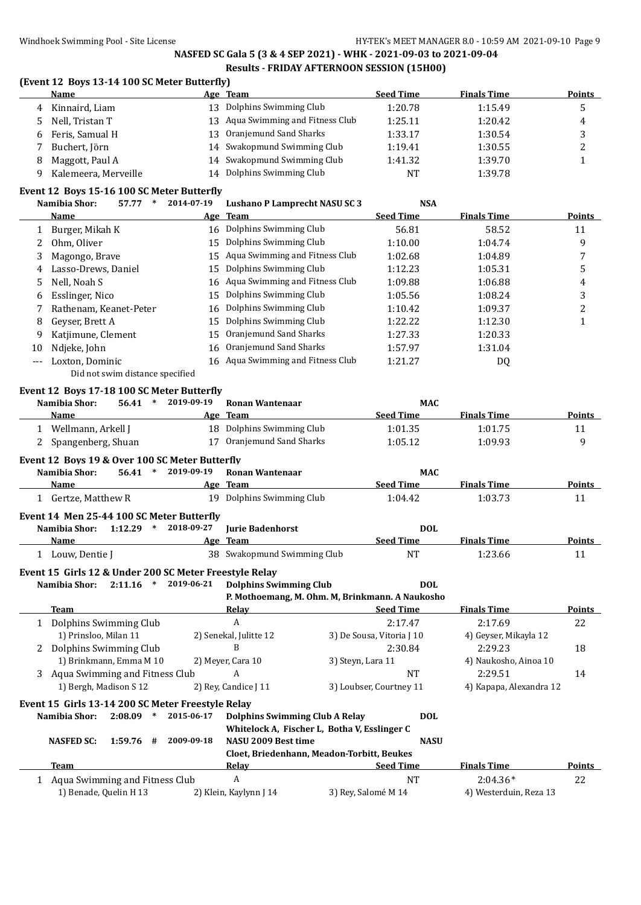### **(Event 12 Boys 13-14 100 SC Meter Butterfly)**

|    | Name                 |     | Age Team                       | <b>Seed Time</b> | <b>Finals Time</b> | <b>Points</b> |
|----|----------------------|-----|--------------------------------|------------------|--------------------|---------------|
|    | 4 Kinnaird, Liam     | 13  | Dolphins Swimming Club         | 1:20.78          | 1:15.49            |               |
|    | 5 Nell, Tristan T    | 13  | Aqua Swimming and Fitness Club | 1:25.11          | 1:20.42            | 4             |
| h. | Feris, Samual H      | 13. | Oranjemund Sand Sharks         | 1:33.17          | 1:30.54            |               |
|    | Buchert, Jörn        |     | 14 Swakopmund Swimming Club    | 1:19.41          | 1:30.55            |               |
|    | Maggott, Paul A      |     | 14 Swakopmund Swimming Club    | 1:41.32          | 1:39.70            |               |
|    | Kalemeera, Merveille | 14  | Dolphins Swimming Club         | <b>NT</b>        | 1:39.78            |               |

### **Event 12 Boys 15-16 100 SC Meter Butterfly**

|                     | UL 15 DOYJ 19 10 10<br>Namibia Shor:<br>57.77 *                           | JUMENT DURINII<br>2014-07-19 | <b>Lushano P Lamprecht NASU SC 3</b>            | <b>NSA</b>                |                         |               |
|---------------------|---------------------------------------------------------------------------|------------------------------|-------------------------------------------------|---------------------------|-------------------------|---------------|
|                     | <b>Name</b>                                                               |                              | Age Team                                        | <b>Seed Time</b>          | <b>Finals Time</b>      | <u>Points</u> |
| 1                   | Burger, Mikah K                                                           |                              | 16 Dolphins Swimming Club                       | 56.81                     | 58.52                   | 11            |
| 2                   | Ohm, Oliver                                                               | 15                           | Dolphins Swimming Club                          | 1:10.00                   | 1:04.74                 | 9             |
| 3                   | Magongo, Brave                                                            | 15                           | Aqua Swimming and Fitness Club                  | 1:02.68                   | 1:04.89                 | 7             |
| 4                   | Lasso-Drews, Daniel                                                       | 15                           | Dolphins Swimming Club                          | 1:12.23                   | 1:05.31                 | 5             |
| 5                   | Nell, Noah S                                                              | 16                           | Aqua Swimming and Fitness Club                  | 1:09.88                   | 1:06.88                 | 4             |
| 6                   | Esslinger, Nico                                                           | 15                           | Dolphins Swimming Club                          | 1:05.56                   | 1:08.24                 | 3             |
| 7                   | Rathenam, Keanet-Peter                                                    | 16                           | Dolphins Swimming Club                          | 1:10.42                   | 1:09.37                 | 2             |
| 8                   | Geyser, Brett A                                                           | 15                           | Dolphins Swimming Club                          | 1:22.22                   | 1:12.30                 | $\mathbf{1}$  |
| 9                   | Katjimune, Clement                                                        | 15                           | Oranjemund Sand Sharks                          | 1:27.33                   | 1:20.33                 |               |
| 10                  | Ndjeke, John                                                              | 16                           | Oranjemund Sand Sharks                          | 1:57.97                   | 1:31.04                 |               |
| $\qquad \qquad - -$ | Loxton, Dominic                                                           |                              | 16 Aqua Swimming and Fitness Club               | 1:21.27                   | DQ                      |               |
|                     | Did not swim distance specified                                           |                              |                                                 |                           |                         |               |
|                     | Event 12 Boys 17-18 100 SC Meter Butterfly                                |                              |                                                 |                           |                         |               |
|                     | $\ast$<br>Namibia Shor:<br>56.41                                          | 2019-09-19                   | <b>Ronan Wantenaar</b>                          | <b>MAC</b>                |                         |               |
|                     | Name                                                                      |                              | Age Team                                        | <b>Seed Time</b>          | <b>Finals Time</b>      | Points        |
|                     | 1 Wellmann, Arkell J                                                      |                              | 18 Dolphins Swimming Club                       | 1:01.35                   | 1:01.75                 | 11            |
| 2                   | Spangenberg, Shuan                                                        |                              | 17 Oranjemund Sand Sharks                       | 1:05.12                   | 1:09.93                 | 9             |
|                     | Event 12 Boys 19 & Over 100 SC Meter Butterfly                            |                              |                                                 |                           |                         |               |
|                     | Namibia Shor:<br>$\ast$<br>56.41                                          | 2019-09-19                   | <b>Ronan Wantenaar</b>                          | <b>MAC</b>                |                         |               |
|                     | Name                                                                      |                              | Age Team                                        | <b>Seed Time</b>          | <b>Finals Time</b>      | Points        |
|                     | 1 Gertze, Matthew R                                                       |                              | 19 Dolphins Swimming Club                       | 1:04.42                   | 1:03.73                 | 11            |
|                     |                                                                           |                              |                                                 |                           |                         |               |
|                     | Event 14 Men 25-44 100 SC Meter Butterfly<br>Namibia Shor:<br>$1:12.29$ * | 2018-09-27                   | <b>Jurie Badenhorst</b>                         | <b>DOL</b>                |                         |               |
|                     | Name                                                                      | Age                          | <b>Team</b>                                     | <b>Seed Time</b>          | <b>Finals Time</b>      | <b>Points</b> |
|                     | 1 Louw, Dentie J                                                          |                              | 38 Swakopmund Swimming Club                     | <b>NT</b>                 | 1:23.66                 | 11            |
|                     |                                                                           |                              |                                                 |                           |                         |               |
|                     | Event 15 Girls 12 & Under 200 SC Meter Freestyle Relay                    |                              |                                                 |                           |                         |               |
|                     | Namibia Shor:<br>2:11.16<br>$\ast$                                        | 2019-06-21                   | <b>Dolphins Swimming Club</b>                   | <b>DOL</b>                |                         |               |
|                     |                                                                           |                              | P. Mothoemang, M. Ohm. M, Brinkmann. A Naukosho |                           |                         |               |
|                     | <b>Team</b>                                                               |                              | <b>Relay</b>                                    | <b>Seed Time</b>          | <b>Finals Time</b>      | Points        |
|                     | 1 Dolphins Swimming Club                                                  |                              | $\boldsymbol{A}$                                | 2:17.47                   | 2:17.69                 | 22            |
|                     | 1) Prinsloo, Milan 11                                                     |                              | 2) Senekal, Julitte 12                          | 3) De Sousa, Vitoria J 10 | 4) Geyser, Mikayla 12   |               |
|                     | 2 Dolphins Swimming Club                                                  |                              | B                                               | 2:30.84                   | 2:29.23                 | 18            |
|                     | 1) Brinkmann, Emma M 10                                                   |                              | 2) Meyer, Cara 10                               | 3) Steyn, Lara 11         | 4) Naukosho, Ainoa 10   |               |
| 3                   | Aqua Swimming and Fitness Club                                            |                              | A                                               | <b>NT</b>                 | 2:29.51                 | 14            |
|                     | 1) Bergh, Madison S 12                                                    |                              | 2) Rey, Candice J 11                            | 3) Loubser, Courtney 11   | 4) Kapapa, Alexandra 12 |               |

**Event 15 Girls 13-14 200 SC Meter Freestyle Relay Namibia Shor: 2:08.09 \* 2015-06-17 Dolphins Swimming Club A Relay DOL**

|                                                |                        | Whitelock A, Fischer L, Botha V, Esslinger C |                        |               |
|------------------------------------------------|------------------------|----------------------------------------------|------------------------|---------------|
| 2009-09-18<br><b>NASFED SC:</b><br>$1:59.76$ # | NASU 2009 Best time    | <b>NASU</b>                                  |                        |               |
|                                                |                        | Cloet, Briedenhann, Meadon-Torbitt, Beukes   |                        |               |
| Team                                           | Relay                  | <b>Seed Time</b>                             | <b>Finals Time</b>     | <b>Points</b> |
| Aqua Swimming and Fitness Club                 |                        | NT                                           | $2:04.36*$             | 22            |
| 1) Benade, Quelin H 13                         | 2) Klein, Kaylynn J 14 | 3) Rey, Salomé M 14                          | 4) Westerduin, Reza 13 |               |